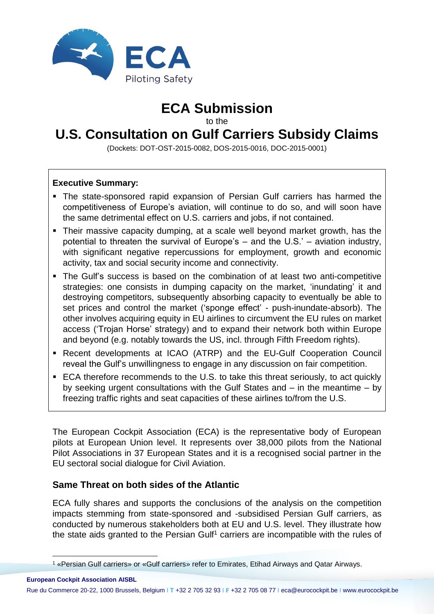

## **ECA Submission**

to the

# **U.S. Consultation on Gulf Carriers Subsidy Claims**

(Dockets: DOT-OST-2015-0082, DOS-2015-0016, DOC-2015-0001)

#### **Executive Summary:**

- The state-sponsored rapid expansion of Persian Gulf carriers has harmed the competitiveness of Europe's aviation, will continue to do so, and will soon have the same detrimental effect on U.S. carriers and jobs, if not contained.
- Their massive capacity dumping, at a scale well beyond market growth, has the potential to threaten the survival of Europe's – and the U.S.' – aviation industry, with significant negative repercussions for employment, growth and economic activity, tax and social security income and connectivity.
- The Gulf's success is based on the combination of at least two anti-competitive strategies: one consists in dumping capacity on the market, 'inundating' it and destroying competitors, subsequently absorbing capacity to eventually be able to set prices and control the market ('sponge effect' - push-inundate-absorb). The other involves acquiring equity in EU airlines to circumvent the EU rules on market access ('Trojan Horse' strategy) and to expand their network both within Europe and beyond (e.g. notably towards the US, incl. through Fifth Freedom rights).
- Recent developments at ICAO (ATRP) and the EU-Gulf Cooperation Council reveal the Gulf's unwillingness to engage in any discussion on fair competition.
- ECA therefore recommends to the U.S. to take this threat seriously, to act quickly by seeking urgent consultations with the Gulf States and – in the meantime – by freezing traffic rights and seat capacities of these airlines to/from the U.S.

The European Cockpit Association (ECA) is the representative body of European pilots at European Union level. It represents over 38,000 pilots from the National Pilot Associations in 37 European States and it is a recognised social partner in the EU sectoral social dialogue for Civil Aviation.

## **Same Threat on both sides of the Atlantic**

 $\overline{a}$ 

ECA fully shares and supports the conclusions of the analysis on the competition impacts stemming from state-sponsored and -subsidised Persian Gulf carriers, as conducted by numerous stakeholders both at EU and U.S. level. They illustrate how the state aids granted to the Persian Gulf<sup>1</sup> carriers are incompatible with the rules of

**European Cockpit Association AISBL** Rue du Commerce 20-22, 1000 Brussels, Belgium I **T** +32 2 705 32 93 I **F** +32 2 705 08 77 I eca@eurocockpit.be I www.eurocockpit.be

<sup>1</sup> «Persian Gulf carriers» or «Gulf carriers» refer to Emirates, Etihad Airways and Qatar Airways.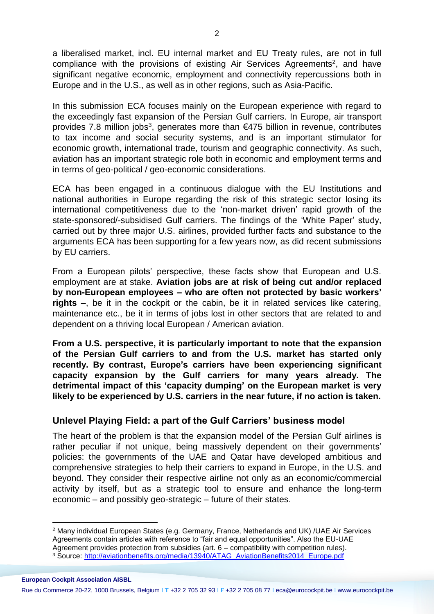a liberalised market, incl. EU internal market and EU Treaty rules, are not in full compliance with the provisions of existing Air Services Agreements<sup>2</sup>, and have significant negative economic, employment and connectivity repercussions both in Europe and in the U.S., as well as in other regions, such as Asia-Pacific.

In this submission ECA focuses mainly on the European experience with regard to the exceedingly fast expansion of the Persian Gulf carriers. In Europe, air transport provides 7.8 million jobs<sup>3</sup>, generates more than €475 billion in revenue, contributes to tax income and social security systems, and is an important stimulator for economic growth, international trade, tourism and geographic connectivity. As such, aviation has an important strategic role both in economic and employment terms and in terms of geo-political / geo-economic considerations.

ECA has been engaged in a continuous dialogue with the EU Institutions and national authorities in Europe regarding the risk of this strategic sector losing its international competitiveness due to the 'non-market driven' rapid growth of the state-sponsored/-subsidised Gulf carriers. The findings of the 'White Paper' study, carried out by three major U.S. airlines, provided further facts and substance to the arguments ECA has been supporting for a few years now, as did recent submissions by EU carriers.

From a European pilots' perspective, these facts show that European and U.S. employment are at stake. **Aviation jobs are at risk of being cut and/or replaced by non-European employees – who are often not protected by basic workers' rights** –, be it in the cockpit or the cabin, be it in related services like catering, maintenance etc., be it in terms of jobs lost in other sectors that are related to and dependent on a thriving local European / American aviation.

**From a U.S. perspective, it is particularly important to note that the expansion of the Persian Gulf carriers to and from the U.S. market has started only recently. By contrast, Europe's carriers have been experiencing significant capacity expansion by the Gulf carriers for many years already. The detrimental impact of this 'capacity dumping' on the European market is very likely to be experienced by U.S. carriers in the near future, if no action is taken.**

## **Unlevel Playing Field: a part of the Gulf Carriers' business model**

The heart of the problem is that the expansion model of the Persian Gulf airlines is rather peculiar if not unique, being massively dependent on their governments' policies: the governments of the UAE and Qatar have developed ambitious and comprehensive strategies to help their carriers to expand in Europe, in the U.S. and beyond. They consider their respective airline not only as an economic/commercial activity by itself, but as a strategic tool to ensure and enhance the long-term economic – and possibly geo-strategic – future of their states.

 $\overline{a}$ 

<sup>2</sup> Many individual European States (e.g. Germany, France, Netherlands and UK) /UAE Air Services Agreements contain articles with reference to "fair and equal opportunities". Also the EU-UAE Agreement provides protection from subsidies (art. 6 – compatibility with competition rules).

<sup>3</sup> Source: [http://aviationbenefits.org/media/13940/ATAG\\_AviationBenefits2014\\_Europe.pdf](http://aviationbenefits.org/media/13940/ATAG_AviationBenefits2014_Europe.pdf)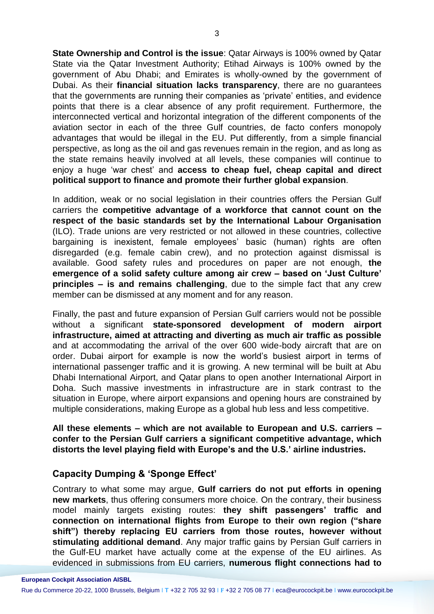**State Ownership and Control is the issue**: Qatar Airways is 100% owned by Qatar State via the Qatar Investment Authority; Etihad Airways is 100% owned by the government of Abu Dhabi; and Emirates is wholly-owned by the government of Dubai. As their **financial situation lacks transparency**, there are no guarantees that the governments are running their companies as 'private' entities, and evidence points that there is a clear absence of any profit requirement. Furthermore, the interconnected vertical and horizontal integration of the different components of the aviation sector in each of the three Gulf countries, de facto confers monopoly advantages that would be illegal in the EU. Put differently, from a simple financial perspective, as long as the oil and gas revenues remain in the region, and as long as the state remains heavily involved at all levels, these companies will continue to enjoy a huge 'war chest' and **access to cheap fuel, cheap capital and direct political support to finance and promote their further global expansion**.

In addition, weak or no social legislation in their countries offers the Persian Gulf carriers the **competitive advantage of a workforce that cannot count on the respect of the basic standards set by the International Labour Organisation** (ILO). Trade unions are very restricted or not allowed in these countries, collective bargaining is inexistent, female employees' basic (human) rights are often disregarded (e.g. female cabin crew), and no protection against dismissal is available. Good safety rules and procedures on paper are not enough, **the emergence of a solid safety culture among air crew – based on 'Just Culture' principles – is and remains challenging**, due to the simple fact that any crew member can be dismissed at any moment and for any reason.

Finally, the past and future expansion of Persian Gulf carriers would not be possible without a significant **state-sponsored development of modern airport infrastructure, aimed at attracting and diverting as much air traffic as possible** and at accommodating the arrival of the over 600 wide-body aircraft that are on order. Dubai airport for example is now the world's busiest airport in terms of international passenger traffic and it is growing. A new terminal will be built at Abu Dhabi International Airport, and Qatar plans to open another International Airport in Doha. Such massive investments in infrastructure are in stark contrast to the situation in Europe, where airport expansions and opening hours are constrained by multiple considerations, making Europe as a global hub less and less competitive.

**All these elements – which are not available to European and U.S. carriers – confer to the Persian Gulf carriers a significant competitive advantage, which distorts the level playing field with Europe's and the U.S.' airline industries.**

## **Capacity Dumping & 'Sponge Effect'**

Contrary to what some may argue, **Gulf carriers do not put efforts in opening new markets**, thus offering consumers more choice. On the contrary, their business model mainly targets existing routes: **they shift passengers' traffic and connection on international flights from Europe to their own region ("share shift") thereby replacing EU carriers from those routes, however without stimulating additional demand**. Any major traffic gains by Persian Gulf carriers in the Gulf-EU market have actually come at the expense of the EU airlines. As evidenced in submissions from EU carriers, **numerous flight connections had to**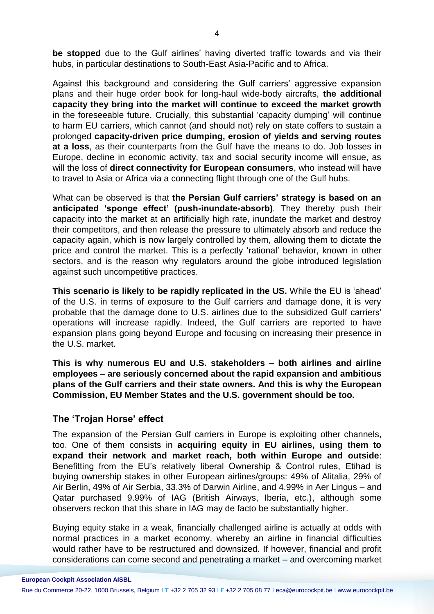**be stopped** due to the Gulf airlines' having diverted traffic towards and via their hubs, in particular destinations to South-East Asia-Pacific and to Africa.

Against this background and considering the Gulf carriers' aggressive expansion plans and their huge order book for long-haul wide-body aircrafts, **the additional capacity they bring into the market will continue to exceed the market growth** in the foreseeable future. Crucially, this substantial 'capacity dumping' will continue to harm EU carriers, which cannot (and should not) rely on state coffers to sustain a prolonged **capacity-driven price dumping, erosion of yields and serving routes at a loss**, as their counterparts from the Gulf have the means to do. Job losses in Europe, decline in economic activity, tax and social security income will ensue, as will the loss of **direct connectivity for European consumers**, who instead will have to travel to Asia or Africa via a connecting flight through one of the Gulf hubs.

What can be observed is that **the Persian Gulf carriers' strategy is based on an anticipated 'sponge effect' (push-inundate-absorb)**. They thereby push their capacity into the market at an artificially high rate, inundate the market and destroy their competitors, and then release the pressure to ultimately absorb and reduce the capacity again, which is now largely controlled by them, allowing them to dictate the price and control the market. This is a perfectly 'rational' behavior, known in other sectors, and is the reason why regulators around the globe introduced legislation against such uncompetitive practices.

**This scenario is likely to be rapidly replicated in the US.** While the EU is 'ahead' of the U.S. in terms of exposure to the Gulf carriers and damage done, it is very probable that the damage done to U.S. airlines due to the subsidized Gulf carriers' operations will increase rapidly. Indeed, the Gulf carriers are reported to have expansion plans going beyond Europe and focusing on increasing their presence in the U.S. market.

**This is why numerous EU and U.S. stakeholders – both airlines and airline employees – are seriously concerned about the rapid expansion and ambitious plans of the Gulf carriers and their state owners. And this is why the European Commission, EU Member States and the U.S. government should be too.**

## **The 'Trojan Horse' effect**

The expansion of the Persian Gulf carriers in Europe is exploiting other channels, too. One of them consists in **acquiring equity in EU airlines, using them to expand their network and market reach, both within Europe and outside**: Benefitting from the EU's relatively liberal Ownership & Control rules, Etihad is buying ownership stakes in other European airlines/groups: 49% of Alitalia, 29% of Air Berlin, 49% of Air Serbia, 33.3% of Darwin Airline, and 4.99% in Aer Lingus – and Qatar purchased 9.99% of IAG (British Airways, Iberia, etc.), although some observers reckon that this share in IAG may de facto be substantially higher.

Buying equity stake in a weak, financially challenged airline is actually at odds with normal practices in a market economy, whereby an airline in financial difficulties would rather have to be restructured and downsized. If however, financial and profit considerations can come second and penetrating a market – and overcoming market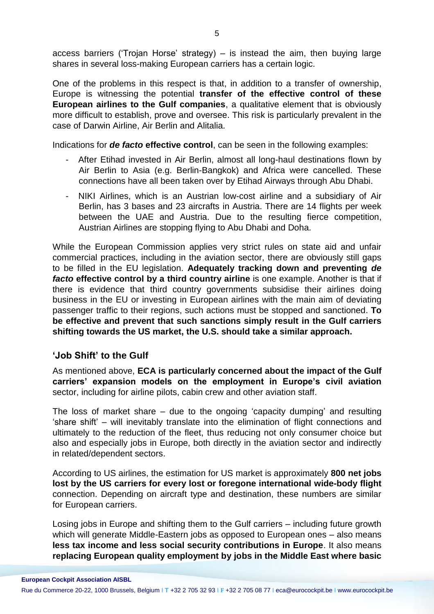access barriers ('Trojan Horse' strategy) – is instead the aim, then buying large shares in several loss-making European carriers has a certain logic.

One of the problems in this respect is that, in addition to a transfer of ownership, Europe is witnessing the potential **transfer of the effective control of these European airlines to the Gulf companies**, a qualitative element that is obviously more difficult to establish, prove and oversee. This risk is particularly prevalent in the case of Darwin Airline, Air Berlin and Alitalia.

Indications for *de facto* **effective control**, can be seen in the following examples:

- After Etihad invested in Air Berlin, almost all long-haul destinations flown by Air Berlin to Asia (e.g. Berlin-Bangkok) and Africa were cancelled. These connections have all been taken over by Etihad Airways through Abu Dhabi.
- NIKI Airlines, which is an Austrian low-cost airline and a subsidiary of Air Berlin, has 3 bases and 23 aircrafts in Austria. There are 14 flights per week between the UAE and Austria. Due to the resulting fierce competition, Austrian Airlines are stopping flying to Abu Dhabi and Doha.

While the European Commission applies very strict rules on state aid and unfair commercial practices, including in the aviation sector, there are obviously still gaps to be filled in the EU legislation. **Adequately tracking down and preventing** *de facto* **effective control by a third country airline** is one example. Another is that if there is evidence that third country governments subsidise their airlines doing business in the EU or investing in European airlines with the main aim of deviating passenger traffic to their regions, such actions must be stopped and sanctioned. **To be effective and prevent that such sanctions simply result in the Gulf carriers shifting towards the US market, the U.S. should take a similar approach.**

## **'Job Shift' to the Gulf**

As mentioned above, **ECA is particularly concerned about the impact of the Gulf carriers' expansion models on the employment in Europe's civil aviation** sector, including for airline pilots, cabin crew and other aviation staff.

The loss of market share – due to the ongoing 'capacity dumping' and resulting 'share shift' – will inevitably translate into the elimination of flight connections and ultimately to the reduction of the fleet, thus reducing not only consumer choice but also and especially jobs in Europe, both directly in the aviation sector and indirectly in related/dependent sectors.

According to US airlines, the estimation for US market is approximately **800 net jobs lost by the US carriers for every lost or foregone international wide-body flight** connection. Depending on aircraft type and destination, these numbers are similar for European carriers.

Losing jobs in Europe and shifting them to the Gulf carriers – including future growth which will generate Middle-Eastern jobs as opposed to European ones – also means **less tax income and less social security contributions in Europe**. It also means **replacing European quality employment by jobs in the Middle East where basic**